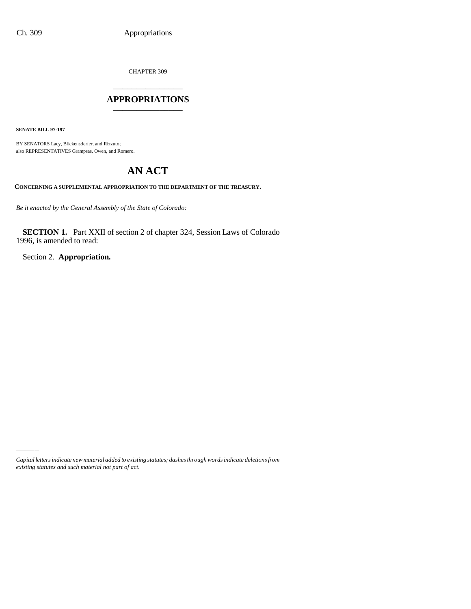CHAPTER 309

# \_\_\_\_\_\_\_\_\_\_\_\_\_\_\_ **APPROPRIATIONS** \_\_\_\_\_\_\_\_\_\_\_\_\_\_\_

**SENATE BILL 97-197**

BY SENATORS Lacy, Blickensderfer, and Rizzuto; also REPRESENTATIVES Grampsas, Owen, and Romero.

# **AN ACT**

**CONCERNING A SUPPLEMENTAL APPROPRIATION TO THE DEPARTMENT OF THE TREASURY.**

*Be it enacted by the General Assembly of the State of Colorado:*

**SECTION 1.** Part XXII of section 2 of chapter 324, Session Laws of Colorado 1996, is amended to read:

Section 2. **Appropriation.**

*Capital letters indicate new material added to existing statutes; dashes through words indicate deletions from existing statutes and such material not part of act.*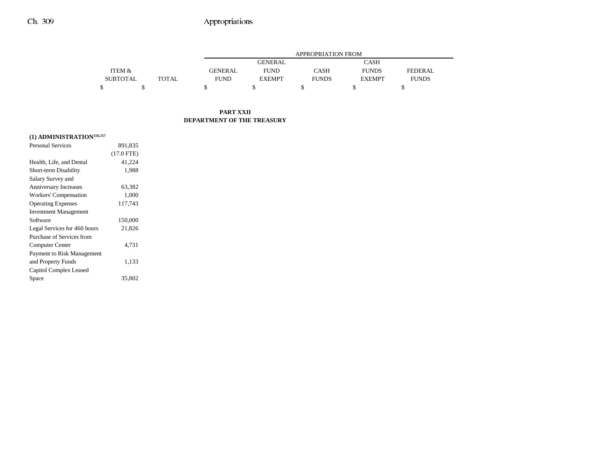## Ch. 309 Appropriations

|                 |       |                | <b>APPROPRIATION FROM</b> |              |               |              |  |  |
|-----------------|-------|----------------|---------------------------|--------------|---------------|--------------|--|--|
|                 |       |                | <b>GENERAL</b>            |              | <b>CASH</b>   |              |  |  |
| ITEM &          |       | <b>GENERAL</b> | <b>FUND</b>               | <b>CASH</b>  | <b>FUNDS</b>  | FEDERAL.     |  |  |
| <b>SUBTOTAL</b> | TOTAL | <b>FUND</b>    | <b>EXEMPT</b>             | <b>FUNDS</b> | <b>EXEMPT</b> | <b>FUNDS</b> |  |  |
|                 |       |                |                           |              |               |              |  |  |

### **PART XXII DEPARTMENT OF THE TREASURY**

## **(1) ADMINISTRATION156,157**

| <b>Personal Services</b>     | 891,835      |  |
|------------------------------|--------------|--|
|                              | $(17.0$ FTE) |  |
| Health, Life, and Dental     | 41,224       |  |
| Short-term Disability        | 1,988        |  |
| Salary Survey and            |              |  |
| <b>Anniversary Increases</b> | 63,382       |  |
| Workers' Compensation        | 1,000        |  |
| <b>Operating Expenses</b>    | 117,743      |  |
| <b>Investment Management</b> |              |  |
| Software                     | 150,000      |  |
| Legal Services for 460 hours | 21,826       |  |
| Purchase of Services from    |              |  |
| Computer Center              | 4.731        |  |
| Payment to Risk Management   |              |  |
| and Property Funds           | 1,133        |  |
| Capitol Complex Leased       |              |  |
| Space                        | 35,802       |  |
|                              |              |  |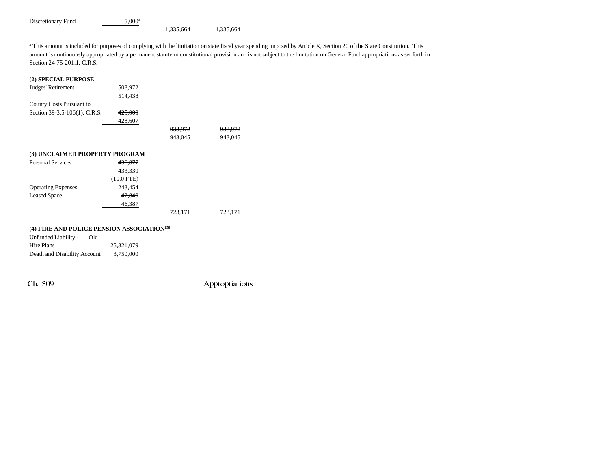Discretionary Fund 5,000<sup>a</sup>

1,335,664 1,335,664

<sup>a</sup> This amount is included for purposes of complying with the limitation on state fiscal year spending imposed by Article X, Section 20 of the State Constitution. This amount is continuously appropriated by a permanent statute or constitutional provision and is not subject to the limitation on General Fund appropriations as set forth in Section 24-75-201.1, C.R.S.

#### **(2) SPECIAL PURPOSE**

| Judges' Retirement             | 508.972            |                    |                    |
|--------------------------------|--------------------|--------------------|--------------------|
|                                | 514,438            |                    |                    |
| County Costs Pursuant to       |                    |                    |                    |
| Section 39-3.5-106(1), C.R.S.  | 425,000            |                    |                    |
|                                | 428,607            |                    |                    |
|                                |                    | <del>933,972</del> | <del>933.972</del> |
|                                |                    | 943,045            | 943,045            |
|                                |                    |                    |                    |
| (3) UNCLAIMED PROPERTY PROGRAM |                    |                    |                    |
| <b>Personal Services</b>       | <del>436,877</del> |                    |                    |
|                                | 433,330            |                    |                    |
|                                | $(10.0$ FTE)       |                    |                    |
| <b>Operating Expenses</b>      | 243,454            |                    |                    |
| <b>Leased Space</b>            | 42,840             |                    |                    |
|                                | 46,387             |                    |                    |
|                                |                    | 723,171            | 723,171            |
|                                |                    |                    |                    |

#### **(4) FIRE AND POLICE PENSION ASSOCIATION158**

| Unfunded Liability -         | Old |            |
|------------------------------|-----|------------|
| Hire Plans                   |     | 25.321.079 |
| Death and Disability Account |     | 3,750,000  |

Ch. 309 Appropriations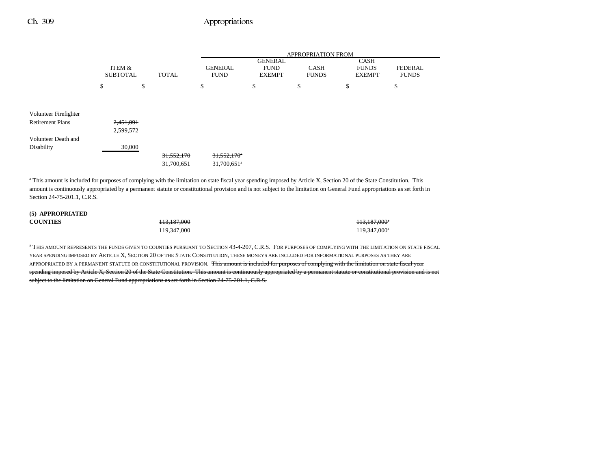### Ch. 309 Appropriations

|                         | ITEM &<br><b>SUBTOTAL</b> |    |              | <b>APPROPRIATION FROM</b> |                               |                                                |    |                             |                                              |                                |
|-------------------------|---------------------------|----|--------------|---------------------------|-------------------------------|------------------------------------------------|----|-----------------------------|----------------------------------------------|--------------------------------|
|                         |                           |    | <b>TOTAL</b> |                           | <b>GENERAL</b><br><b>FUND</b> | <b>GENERAL</b><br><b>FUND</b><br><b>EXEMPT</b> |    | <b>CASH</b><br><b>FUNDS</b> | <b>CASH</b><br><b>FUNDS</b><br><b>EXEMPT</b> | <b>FEDERAL</b><br><b>FUNDS</b> |
|                         | \$                        | \$ |              | \$                        |                               | \$                                             | \$ |                             | \$                                           | \$                             |
|                         |                           |    |              |                           |                               |                                                |    |                             |                                              |                                |
| Volunteer Firefighter   |                           |    |              |                           |                               |                                                |    |                             |                                              |                                |
| <b>Retirement Plans</b> | 2,451,091                 |    |              |                           |                               |                                                |    |                             |                                              |                                |
|                         | 2,599,572                 |    |              |                           |                               |                                                |    |                             |                                              |                                |
| Volunteer Death and     |                           |    |              |                           |                               |                                                |    |                             |                                              |                                |
| Disability              | 30,000                    |    |              |                           |                               |                                                |    |                             |                                              |                                |
|                         |                           |    | 31,552,170   |                           | $31,552,170$ <sup>*</sup>     |                                                |    |                             |                                              |                                |
|                         |                           |    | 31,700,651   |                           | 31,700,651 <sup>a</sup>       |                                                |    |                             |                                              |                                |

<sup>a</sup> This amount is included for purposes of complying with the limitation on state fiscal year spending imposed by Article X, Section 20 of the State Constitution. This amount is continuously appropriated by a permanent statute or constitutional provision and is not subject to the limitation on General Fund appropriations as set forth in Section 24-75-201.1, C.R.S.

#### **(5) APPROPRIATED COUNTIES**

113,187,000 **113,187,000** 

119,347,000 119,347,000 119,347,000 119,347,000 119,347,000 119,347,000 119,347,000 119,347,000 119,347,000 11

<sup>a</sup> THIS AMOUNT REPRESENTS THE FUNDS GIVEN TO COUNTIES PURSUANT TO SECTION 43-4-207, C.R.S. FOR PURPOSES OF COMPLYING WITH THE LIMITATION ON STATE FISCAL YEAR SPENDING IMPOSED BY ARTICLE X, SECTION 20 OF THE STATE CONSTITUTION, THESE MONEYS ARE INCLUDED FOR INFORMATIONAL PURPOSES AS THEY ARE APPROPRIATED BY A PERMANENT STATUTE OR CONSTITUTIONAL PROVISION. This amount is included for purposes of complying with the limitation on state fiscal year spending imposed by Article X, Section 20 of the State Constitution. This amount is continuously appropriated by a permanent statute or constitutional provision and is not subject to the limitation on General Fund appropriations as set forth in Section 24-75-201.1, C.R.S.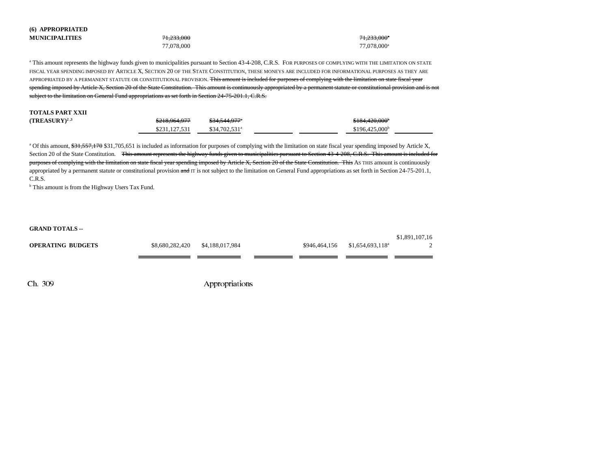| (6) APPROPRIATED<br><b>MUNICIPALITIES</b>                                                            | 71,233,000<br>77,078,000 |                 | 71,233,000<br>77,078,000 <sup>a</sup>                                                                                                                                                                                                                                                                                                                                                                                                                                                                                                                                                                                                                                                                                                  |  |
|------------------------------------------------------------------------------------------------------|--------------------------|-----------------|----------------------------------------------------------------------------------------------------------------------------------------------------------------------------------------------------------------------------------------------------------------------------------------------------------------------------------------------------------------------------------------------------------------------------------------------------------------------------------------------------------------------------------------------------------------------------------------------------------------------------------------------------------------------------------------------------------------------------------------|--|
| subject to the limitation on General Fund appropriations as set forth in Section 24-75-201.1, C.R.S. |                          |                 | <sup>a</sup> This amount represents the highway funds given to municipalities pursuant to Section 43-4-208, C.R.S. For PURPOSES OF COMPLYING WITH THE LIMITATION ON STATE<br>FISCAL YEAR SPENDING IMPOSED BY ARTICLE X, SECTION 20 OF THE STATE CONSTITUTION, THESE MONEYS ARE INCLUDED FOR INFORMATIONAL PURPOSES AS THEY ARE<br>APPROPRIATED BY A PERMANENT STATUTE OR CONSTITUTIONAL PROVISION. This amount is included for purposes of complying with the limitation on state fiseal year<br>spending imposed by Article X, Section 20 of the State Constitution. This amount is continuously appropriated by a permanent statute or constitutional provision and is not                                                           |  |
| <b>TOTALS PART XXII</b><br>$(TREASURY)^{2,3}$                                                        | \$218,964,977            | \$34,544,977*   | \$184,420,000                                                                                                                                                                                                                                                                                                                                                                                                                                                                                                                                                                                                                                                                                                                          |  |
|                                                                                                      | \$231,127,531            | \$34,702,531ª   | \$196,425,000 <sup>b</sup>                                                                                                                                                                                                                                                                                                                                                                                                                                                                                                                                                                                                                                                                                                             |  |
| C.R.S.<br><sup>b</sup> This amount is from the Highway Users Tax Fund.                               |                          |                 | <sup>a</sup> Of this amount, \$31,557,170 \$31,705,651 is included as information for purposes of complying with the limitation on state fiscal year spending imposed by Article X,<br>Section 20 of the State Constitution. This amount represents the highway funds given to municipalities pursuant to Section 43-4-208, C.R.S. This amount is included for<br>purposes of complying with the limitation on state fiscal year spending imposed by Article X, Section 20 of the State Constitution. This AS THIS amount is continuously<br>appropriated by a permanent statute or constitutional provision $\frac{1}{2}$ and IT is not subject to the limitation on General Fund appropriations as set forth in Section 24-75-201.1, |  |
| <b>GRAND TOTALS --</b>                                                                               |                          |                 |                                                                                                                                                                                                                                                                                                                                                                                                                                                                                                                                                                                                                                                                                                                                        |  |
| <b>OPERATING BUDGETS</b>                                                                             | \$8,680,282,420          | \$4,188,017,984 | \$1,891,107,16<br>\$946,464,156<br>$$1,654,693,118$ <sup>a</sup><br>っ                                                                                                                                                                                                                                                                                                                                                                                                                                                                                                                                                                                                                                                                  |  |
| Ch. 309                                                                                              |                          | Appropriations  |                                                                                                                                                                                                                                                                                                                                                                                                                                                                                                                                                                                                                                                                                                                                        |  |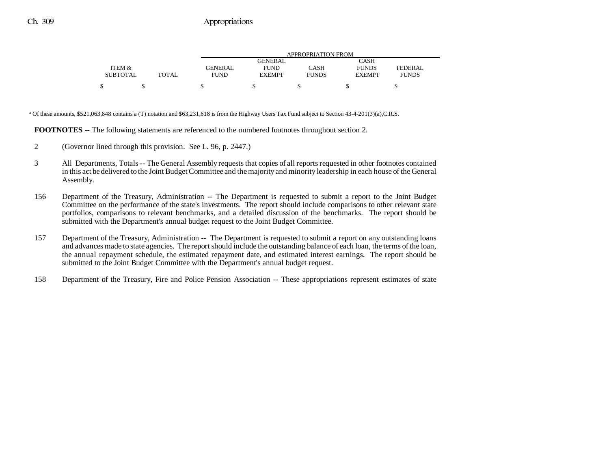|                 |       | APPROPRIATION FROM |                |              |               |              |  |  |
|-----------------|-------|--------------------|----------------|--------------|---------------|--------------|--|--|
|                 |       |                    | <b>GENERAL</b> |              | CASH          |              |  |  |
| ITEM &          |       | GENERAL            | <b>FUND</b>    | CASH         | <b>FUNDS</b>  | FEDERAL      |  |  |
| <b>SUBTOTAL</b> | TOTAL | <b>FUND</b>        | <b>EXEMPT</b>  | <b>FUNDS</b> | <b>EXEMPT</b> | <b>FUNDS</b> |  |  |
|                 |       |                    |                |              |               |              |  |  |

<sup>a</sup> Of these amounts, \$521,063,848 contains a (T) notation and \$63,231,618 is from the Highway Users Tax Fund subject to Section 43-4-201(3)(a),C.R.S.

**FOOTNOTES** -- The following statements are referenced to the numbered footnotes throughout section 2.

- 2 (Governor lined through this provision. See L. 96, p. 2447.)
- 3 All Departments, Totals -- The General Assembly requests that copies of all reports requested in other footnotes contained in this act be delivered to the Joint Budget Committee and the majority and minority leadership in each house of the General Assembly.
- 156 Department of the Treasury, Administration -- The Department is requested to submit a report to the Joint Budget Committee on the performance of the state's investments. The report should include comparisons to other relevant state portfolios, comparisons to relevant benchmarks, and a detailed discussion of the benchmarks. The report should be submitted with the Department's annual budget request to the Joint Budget Committee.
- 157 Department of the Treasury, Administration -- The Department is requested to submit a report on any outstanding loans and advances made to state agencies. The report should include the outstanding balance of each loan, the terms of the loan, the annual repayment schedule, the estimated repayment date, and estimated interest earnings. The report should be submitted to the Joint Budget Committee with the Department's annual budget request.
- 158 Department of the Treasury, Fire and Police Pension Association -- These appropriations represent estimates of state